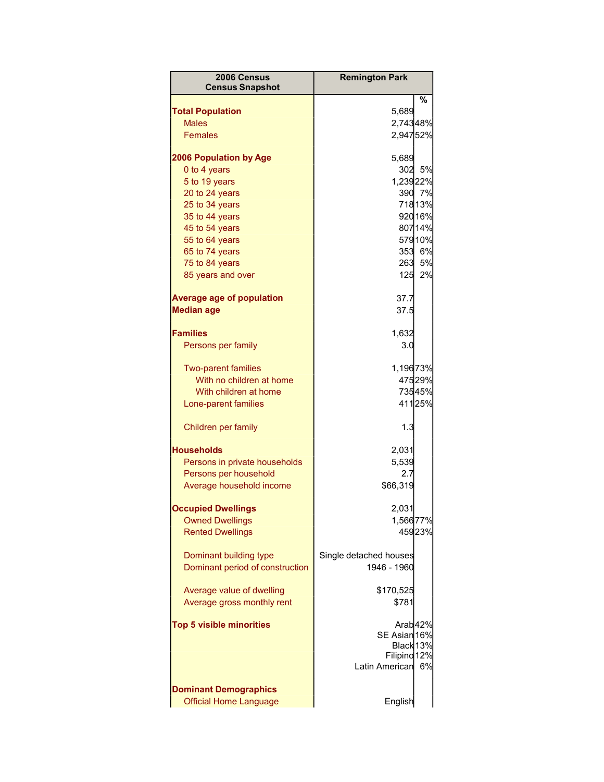| 2006 Census<br><b>Census Snapshot</b>                     | <b>Remington Park</b>                 |         |
|-----------------------------------------------------------|---------------------------------------|---------|
|                                                           |                                       | %       |
| <b>Total Population</b>                                   | 5,689                                 |         |
| <b>Males</b>                                              | 2,74348%                              |         |
| <b>Females</b>                                            | 2,94752%                              |         |
| <b>2006 Population by Age</b>                             | 5,689                                 |         |
| 0 to 4 years                                              | 302                                   | 5%      |
| 5 to 19 years                                             | 1,23922%                              |         |
| 20 to 24 years                                            |                                       | 390 7%  |
| 25 to 34 years                                            |                                       | 71813%  |
| 35 to 44 years                                            |                                       | 920 16% |
| 45 to 54 years                                            |                                       | 80714%  |
| 55 to 64 years                                            |                                       | 57910%  |
| 65 to 74 years                                            |                                       | 353 6%  |
| 75 to 84 years                                            |                                       | 263 5%  |
| 85 years and over                                         | 125                                   | 2%      |
| <b>Average age of population</b>                          | 37.7                                  |         |
| <b>Median age</b>                                         | 37.5                                  |         |
|                                                           |                                       |         |
| <b>Families</b>                                           | 1,632                                 |         |
| Persons per family                                        | 3.0                                   |         |
| <b>Two-parent families</b>                                | 1,19673%                              |         |
| With no children at home                                  |                                       | 47529%  |
| With children at home                                     |                                       | 73545%  |
| Lone-parent families                                      |                                       | 41125%  |
| Children per family                                       | 1.3                                   |         |
| <b>Households</b>                                         | 2,031                                 |         |
| Persons in private households                             | 5,539                                 |         |
| Persons per household                                     | 2.7                                   |         |
| Average household income                                  | \$66,319                              |         |
| <b>Occupied Dwellings</b>                                 | 2,031                                 |         |
| <b>Owned Dwellings</b>                                    | 1,56677%                              |         |
| <b>Rented Dwellings</b>                                   |                                       | 45923%  |
|                                                           |                                       |         |
| Dominant building type<br>Dominant period of construction | Single detached houses<br>1946 - 1960 |         |
|                                                           |                                       |         |
| Average value of dwelling                                 | \$170,525                             |         |
| Average gross monthly rent                                | \$781                                 |         |
| <b>Top 5 visible minorities</b>                           |                                       | Arab42% |
|                                                           | SE Asian 16%                          |         |
|                                                           | Black 13%                             |         |
|                                                           | Filipino 12%                          |         |
|                                                           | Latin American                        | 6%      |
| <b>Dominant Demographics</b>                              |                                       |         |
| <b>Official Home Language</b>                             | English                               |         |